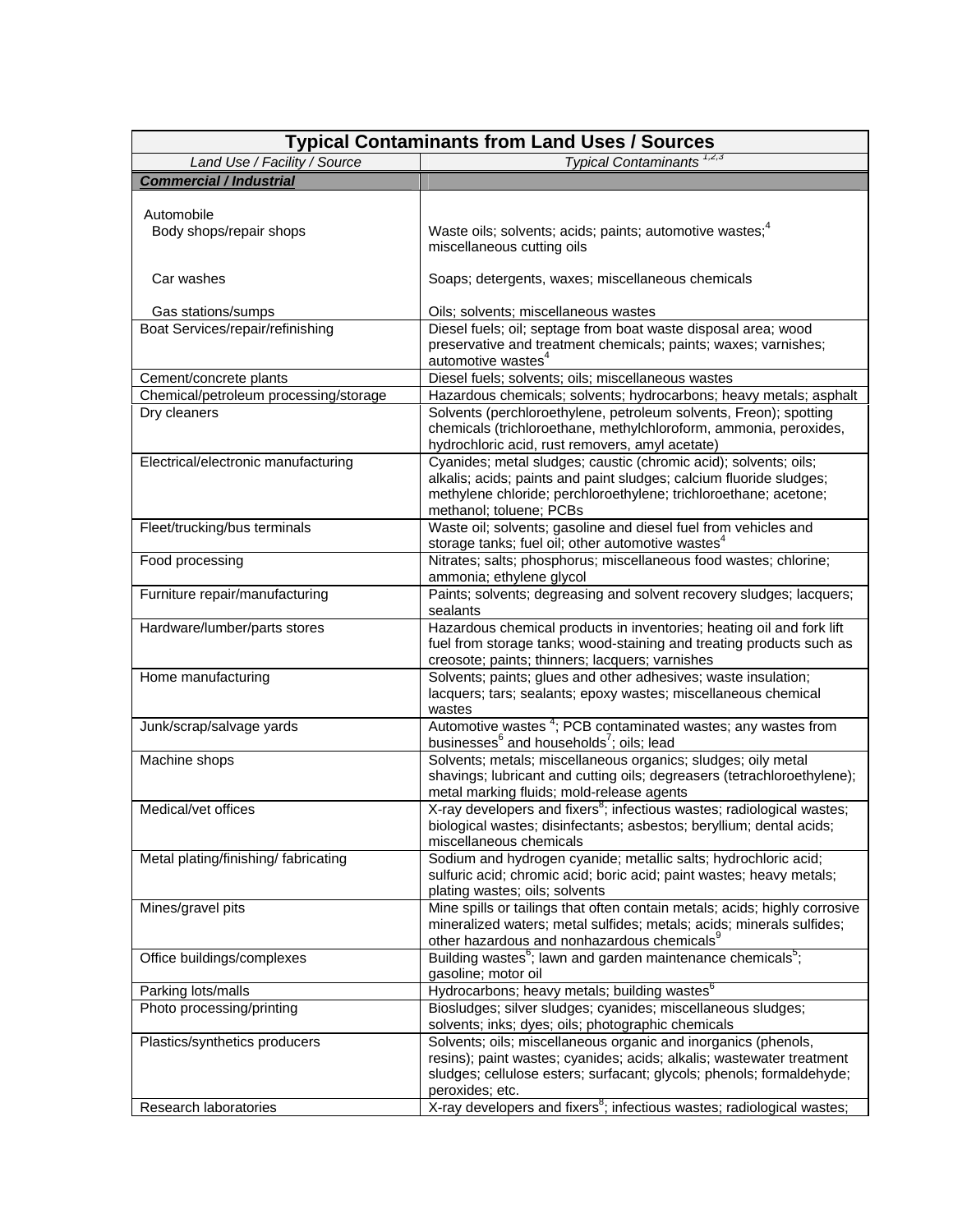| <b>Typical Contaminants from Land Uses / Sources</b> |                                                                                                        |  |
|------------------------------------------------------|--------------------------------------------------------------------------------------------------------|--|
| Land Use / Facility / Source                         | Typical Contaminants <sup>1,2,3</sup>                                                                  |  |
| <b>Commercial / Industrial</b>                       |                                                                                                        |  |
|                                                      |                                                                                                        |  |
| Automobile                                           |                                                                                                        |  |
| Body shops/repair shops                              | Waste oils; solvents; acids; paints; automotive wastes; <sup>4</sup>                                   |  |
|                                                      | miscellaneous cutting oils                                                                             |  |
|                                                      |                                                                                                        |  |
| Car washes                                           | Soaps; detergents, waxes; miscellaneous chemicals                                                      |  |
| Gas stations/sumps                                   | Oils; solvents; miscellaneous wastes                                                                   |  |
| Boat Services/repair/refinishing                     | Diesel fuels; oil; septage from boat waste disposal area; wood                                         |  |
|                                                      | preservative and treatment chemicals; paints; waxes; varnishes;                                        |  |
|                                                      | automotive wastes <sup>4</sup>                                                                         |  |
| Cement/concrete plants                               | Diesel fuels; solvents; oils; miscellaneous wastes                                                     |  |
| Chemical/petroleum processing/storage                | Hazardous chemicals; solvents; hydrocarbons; heavy metals; asphalt                                     |  |
| Dry cleaners                                         | Solvents (perchloroethylene, petroleum solvents, Freon); spotting                                      |  |
|                                                      | chemicals (trichloroethane, methylchloroform, ammonia, peroxides,                                      |  |
|                                                      | hydrochloric acid, rust removers, amyl acetate)                                                        |  |
| Electrical/electronic manufacturing                  | Cyanides; metal sludges; caustic (chromic acid); solvents; oils;                                       |  |
|                                                      | alkalis; acids; paints and paint sludges; calcium fluoride sludges;                                    |  |
|                                                      | methylene chloride; perchloroethylene; trichloroethane; acetone;<br>methanol; toluene; PCBs            |  |
| Fleet/trucking/bus terminals                         | Waste oil; solvents; gasoline and diesel fuel from vehicles and                                        |  |
|                                                      | storage tanks; fuel oil; other automotive wastes <sup>4</sup>                                          |  |
| Food processing                                      | Nitrates; salts; phosphorus; miscellaneous food wastes; chlorine;                                      |  |
|                                                      | ammonia; ethylene glycol                                                                               |  |
| Furniture repair/manufacturing                       | Paints; solvents; degreasing and solvent recovery sludges; lacquers;                                   |  |
|                                                      | sealants                                                                                               |  |
| Hardware/lumber/parts stores                         | Hazardous chemical products in inventories; heating oil and fork lift                                  |  |
|                                                      | fuel from storage tanks; wood-staining and treating products such as                                   |  |
|                                                      | creosote; paints; thinners; lacquers; varnishes                                                        |  |
| Home manufacturing                                   | Solvents; paints; glues and other adhesives; waste insulation;                                         |  |
|                                                      | lacquers; tars; sealants; epoxy wastes; miscellaneous chemical                                         |  |
| Junk/scrap/salvage yards                             | wastes<br>Automotive wastes <sup>4</sup> ; PCB contaminated wastes; any wastes from                    |  |
|                                                      | businesses <sup>6</sup> and households <sup>7</sup> ; oils; lead                                       |  |
| Machine shops                                        | Solvents; metals; miscellaneous organics; sludges; oily metal                                          |  |
|                                                      | shavings; lubricant and cutting oils; degreasers (tetrachloroethylene);                                |  |
|                                                      | metal marking fluids; mold-release agents                                                              |  |
| Medical/vet offices                                  | X-ray developers and fixers <sup>8</sup> ; infectious wastes; radiological wastes;                     |  |
|                                                      | biological wastes; disinfectants; asbestos; beryllium; dental acids;                                   |  |
|                                                      | miscellaneous chemicals                                                                                |  |
| Metal plating/finishing/ fabricating                 | Sodium and hydrogen cyanide; metallic salts; hydrochloric acid;                                        |  |
|                                                      | sulfuric acid; chromic acid; boric acid; paint wastes; heavy metals;<br>plating wastes; oils; solvents |  |
| Mines/gravel pits                                    | Mine spills or tailings that often contain metals; acids; highly corrosive                             |  |
|                                                      | mineralized waters; metal sulfides; metals; acids; minerals sulfides;                                  |  |
|                                                      | other hazardous and nonhazardous chemicals <sup>9</sup>                                                |  |
| Office buildings/complexes                           | Building wastes <sup>6</sup> ; lawn and garden maintenance chemicals <sup>5</sup> ;                    |  |
|                                                      | gasoline; motor oil                                                                                    |  |
| Parking lots/malls                                   | Hydrocarbons; heavy metals; building wastes <sup>6</sup>                                               |  |
| Photo processing/printing                            | Biosludges; silver sludges; cyanides; miscellaneous sludges;                                           |  |
|                                                      | solvents; inks; dyes; oils; photographic chemicals                                                     |  |
| Plastics/synthetics producers                        | Solvents; oils; miscellaneous organic and inorganics (phenols,                                         |  |
|                                                      | resins); paint wastes; cyanides; acids; alkalis; wastewater treatment                                  |  |
|                                                      | sludges; cellulose esters; surfacant; glycols; phenols; formaldehyde;<br>peroxides; etc.               |  |
| Research laboratories                                | X-ray developers and fixers <sup>8</sup> ; infectious wastes; radiological wastes;                     |  |
|                                                      |                                                                                                        |  |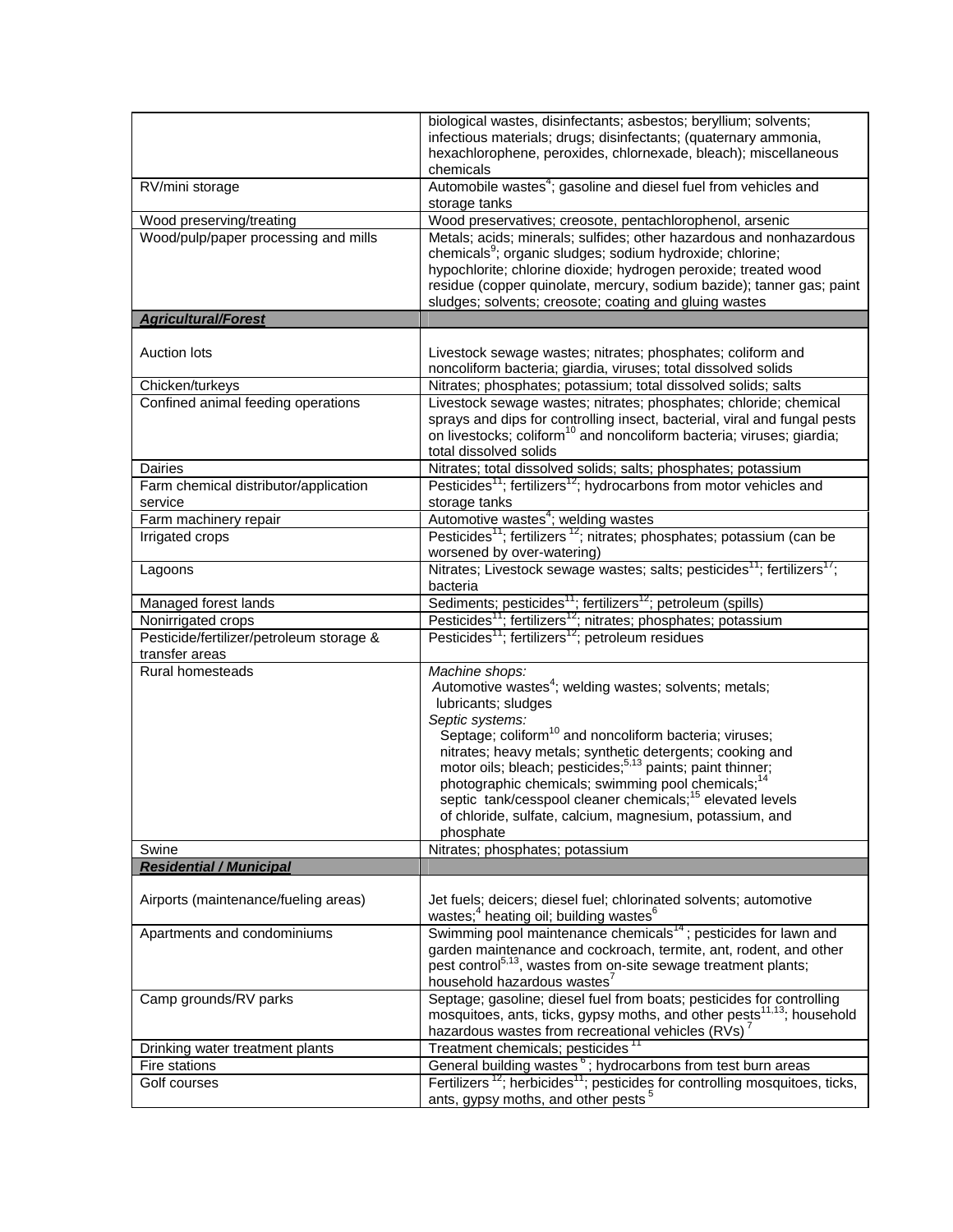|                                                            | biological wastes, disinfectants; asbestos; beryllium; solvents;<br>infectious materials; drugs; disinfectants; (quaternary ammonia,<br>hexachlorophene, peroxides, chlornexade, bleach); miscellaneous<br>chemicals |
|------------------------------------------------------------|----------------------------------------------------------------------------------------------------------------------------------------------------------------------------------------------------------------------|
| RV/mini storage                                            | Automobile wastes <sup>4</sup> ; gasoline and diesel fuel from vehicles and<br>storage tanks                                                                                                                         |
| Wood preserving/treating                                   | Wood preservatives; creosote, pentachlorophenol, arsenic                                                                                                                                                             |
| Wood/pulp/paper processing and mills                       | Metals; acids; minerals; sulfides; other hazardous and nonhazardous                                                                                                                                                  |
|                                                            | chemicals <sup>9</sup> ; organic sludges; sodium hydroxide; chlorine;                                                                                                                                                |
|                                                            | hypochlorite; chlorine dioxide; hydrogen peroxide; treated wood                                                                                                                                                      |
|                                                            | residue (copper quinolate, mercury, sodium bazide); tanner gas; paint                                                                                                                                                |
|                                                            | sludges; solvents; creosote; coating and gluing wastes                                                                                                                                                               |
| <b>Agricultural/Forest</b>                                 |                                                                                                                                                                                                                      |
| <b>Auction lots</b>                                        | Livestock sewage wastes; nitrates; phosphates; coliform and                                                                                                                                                          |
|                                                            | noncoliform bacteria; giardia, viruses; total dissolved solids                                                                                                                                                       |
| Chicken/turkeys                                            | Nitrates; phosphates; potassium; total dissolved solids; salts                                                                                                                                                       |
| Confined animal feeding operations                         | Livestock sewage wastes; nitrates; phosphates; chloride; chemical                                                                                                                                                    |
|                                                            | sprays and dips for controlling insect, bacterial, viral and fungal pests                                                                                                                                            |
|                                                            | on livestocks; coliform <sup>10</sup> and noncoliform bacteria; viruses; giardia;                                                                                                                                    |
|                                                            | total dissolved solids                                                                                                                                                                                               |
| <b>Dairies</b>                                             | Nitrates; total dissolved solids; salts; phosphates; potassium                                                                                                                                                       |
| Farm chemical distributor/application                      | Pesticides <sup>11</sup> ; fertilizers <sup>12</sup> ; hydrocarbons from motor vehicles and                                                                                                                          |
| service                                                    | storage tanks                                                                                                                                                                                                        |
| Farm machinery repair                                      | Automotive wastes <sup>4</sup> ; welding wastes                                                                                                                                                                      |
| Irrigated crops                                            | Pesticides <sup>11</sup> ; fertilizers <sup>12</sup> ; nitrates; phosphates; potassium (can be<br>worsened by over-watering)                                                                                         |
| Lagoons                                                    | Nitrates; Livestock sewage wastes; salts; pesticides <sup>11</sup> ; fertilizers <sup>17</sup> ;<br>bacteria                                                                                                         |
| Managed forest lands                                       | Sediments; pesticides <sup>11</sup> ; fertilizers <sup>12</sup> ; petroleum (spills)<br>Pesticides <sup>11</sup> ; fertilizers <sup>12</sup> ; nitrates; phosphates; potassium                                       |
| Nonirrigated crops                                         |                                                                                                                                                                                                                      |
| Pesticide/fertilizer/petroleum storage &<br>transfer areas | Pesticides <sup>11</sup> ; fertilizers <sup>12</sup> ; petroleum residues                                                                                                                                            |
| Rural homesteads                                           | Machine shops:                                                                                                                                                                                                       |
|                                                            | Automotive wastes <sup>4</sup> ; welding wastes; solvents; metals;                                                                                                                                                   |
|                                                            | lubricants; sludges                                                                                                                                                                                                  |
|                                                            | Septic systems:                                                                                                                                                                                                      |
|                                                            | Septage; coliform <sup>10</sup> and noncoliform bacteria; viruses;                                                                                                                                                   |
|                                                            | nitrates; heavy metals; synthetic detergents; cooking and<br>motor oils; bleach; pesticides; <sup>5,13</sup> paints; paint thinner;                                                                                  |
|                                                            | photographic chemicals; swimming pool chemicals; <sup>14</sup>                                                                                                                                                       |
|                                                            | septic tank/cesspool cleaner chemicals; <sup>15</sup> elevated levels                                                                                                                                                |
|                                                            | of chloride, sulfate, calcium, magnesium, potassium, and                                                                                                                                                             |
|                                                            | phosphate                                                                                                                                                                                                            |
| Swine                                                      | Nitrates; phosphates; potassium                                                                                                                                                                                      |
| <b>Residential / Municipal</b>                             |                                                                                                                                                                                                                      |
|                                                            |                                                                                                                                                                                                                      |
| Airports (maintenance/fueling areas)                       | Jet fuels; deicers; diesel fuel; chlorinated solvents; automotive                                                                                                                                                    |
|                                                            | wastes; <sup>4</sup> heating oil; building wastes $6$                                                                                                                                                                |
| Apartments and condominiums                                | Swimming pool maintenance chemicals <sup>14</sup> ; pesticides for lawn and<br>garden maintenance and cockroach, termite, ant, rodent, and other                                                                     |
|                                                            | pest control <sup>5,13</sup> , wastes from on-site sewage treatment plants;                                                                                                                                          |
|                                                            | household hazardous wastes <sup>7</sup>                                                                                                                                                                              |
| Camp grounds/RV parks                                      | Septage; gasoline; diesel fuel from boats; pesticides for controlling                                                                                                                                                |
|                                                            | mosquitoes, ants, ticks, gypsy moths, and other pests <sup>11,13</sup> ; household                                                                                                                                   |
|                                                            | hazardous wastes from recreational vehicles (RVs) <sup>7</sup>                                                                                                                                                       |
| Drinking water treatment plants                            | Treatment chemicals; pesticides <sup>11</sup>                                                                                                                                                                        |
| Fire stations                                              | General building wastes <sup>6</sup> ; hydrocarbons from test burn areas                                                                                                                                             |
| Golf courses                                               | Fertilizers <sup>12</sup> ; herbicides <sup>11</sup> ; pesticides for controlling mosquitoes, ticks,                                                                                                                 |
|                                                            | ants, gypsy moths, and other pests <sup>5</sup>                                                                                                                                                                      |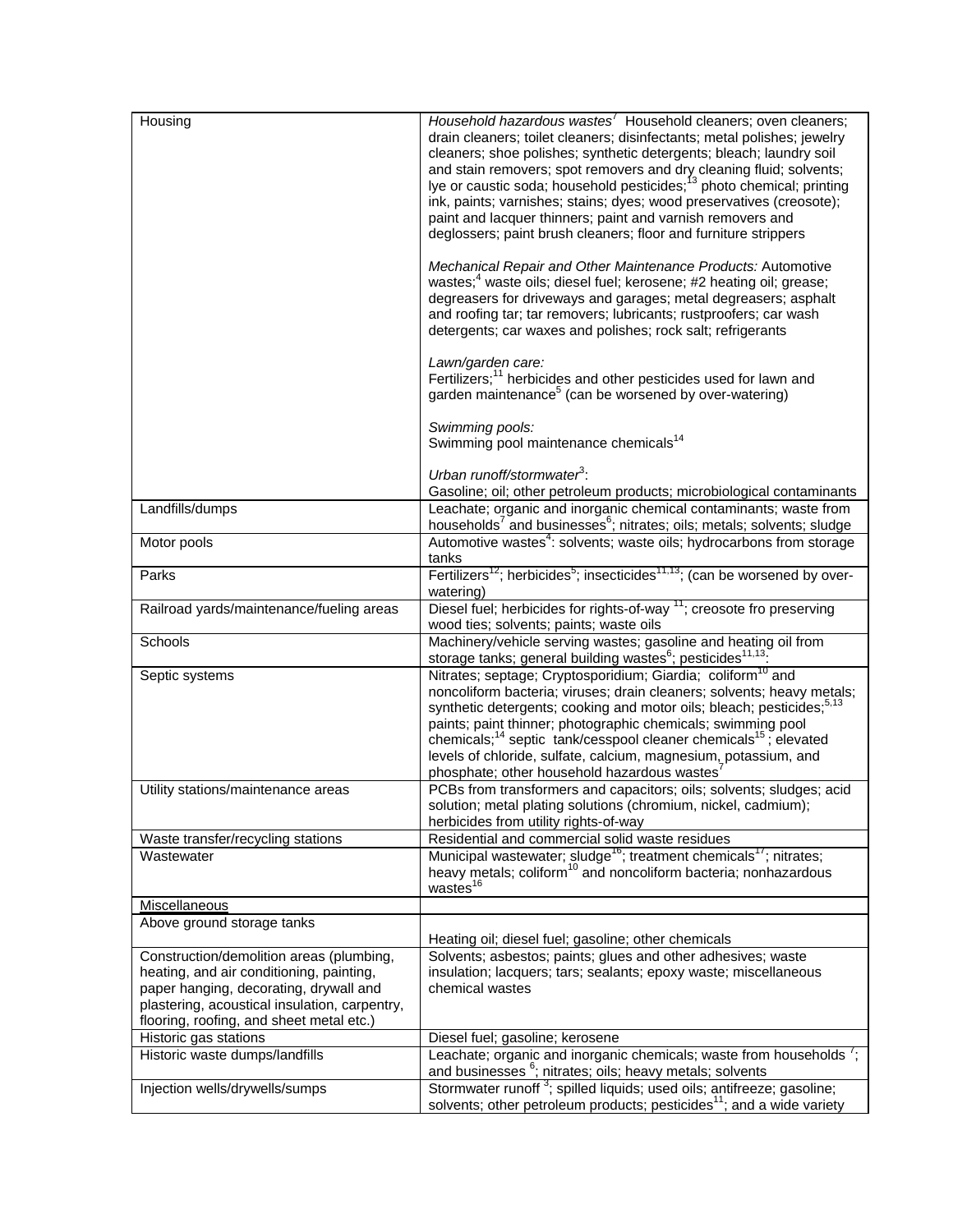| Housing                                                                                                                                                                                                                     | Household hazardous wastes <sup>7</sup> Household cleaners; oven cleaners;<br>drain cleaners; toilet cleaners; disinfectants; metal polishes; jewelry<br>cleaners; shoe polishes; synthetic detergents; bleach; laundry soil<br>and stain removers; spot removers and dry cleaning fluid; solvents;<br>lye or caustic soda; household pesticides; <sup>13</sup> photo chemical; printing<br>ink, paints; varnishes; stains; dyes; wood preservatives (creosote);<br>paint and lacquer thinners; paint and varnish removers and<br>deglossers; paint brush cleaners; floor and furniture strippers |
|-----------------------------------------------------------------------------------------------------------------------------------------------------------------------------------------------------------------------------|---------------------------------------------------------------------------------------------------------------------------------------------------------------------------------------------------------------------------------------------------------------------------------------------------------------------------------------------------------------------------------------------------------------------------------------------------------------------------------------------------------------------------------------------------------------------------------------------------|
|                                                                                                                                                                                                                             | Mechanical Repair and Other Maintenance Products: Automotive<br>wastes; <sup>4</sup> waste oils; diesel fuel; kerosene; #2 heating oil; grease;<br>degreasers for driveways and garages; metal degreasers; asphalt<br>and roofing tar; tar removers; lubricants; rustproofers; car wash<br>detergents; car waxes and polishes; rock salt; refrigerants                                                                                                                                                                                                                                            |
|                                                                                                                                                                                                                             | Lawn/garden care:<br>Fertilizers; <sup>11</sup> herbicides and other pesticides used for lawn and<br>garden maintenance <sup>5</sup> (can be worsened by over-watering)                                                                                                                                                                                                                                                                                                                                                                                                                           |
|                                                                                                                                                                                                                             | Swimming pools:<br>Swimming pool maintenance chemicals <sup>14</sup>                                                                                                                                                                                                                                                                                                                                                                                                                                                                                                                              |
|                                                                                                                                                                                                                             | Urban runoff/stormwater <sup>3</sup> :<br>Gasoline; oil; other petroleum products; microbiological contaminants                                                                                                                                                                                                                                                                                                                                                                                                                                                                                   |
| Landfills/dumps                                                                                                                                                                                                             | Leachate; organic and inorganic chemical contaminants; waste from<br>households <sup>7</sup> and businesses <sup>6</sup> ; nitrates; oils; metals; solvents; sludge                                                                                                                                                                                                                                                                                                                                                                                                                               |
| Motor pools                                                                                                                                                                                                                 | Automotive wastes <sup>4</sup> : solvents; waste oils; hydrocarbons from storage<br>tanks                                                                                                                                                                                                                                                                                                                                                                                                                                                                                                         |
| Parks                                                                                                                                                                                                                       | Fertilizers <sup>12</sup> ; herbicides <sup>5</sup> ; insecticides <sup>11,13</sup> ; (can be worsened by over-<br>watering)                                                                                                                                                                                                                                                                                                                                                                                                                                                                      |
| Railroad yards/maintenance/fueling areas                                                                                                                                                                                    | Diesel fuel; herbicides for rights-of-way <sup>11</sup> ; creosote fro preserving<br>wood ties; solvents; paints; waste oils                                                                                                                                                                                                                                                                                                                                                                                                                                                                      |
| Schools                                                                                                                                                                                                                     | Machinery/vehicle serving wastes; gasoline and heating oil from<br>storage tanks; general building wastes <sup>6</sup> ; pesticides <sup>11,13</sup> .                                                                                                                                                                                                                                                                                                                                                                                                                                            |
| Septic systems                                                                                                                                                                                                              | Nitrates; septage; Cryptosporidium; Giardia; coliform <sup>10</sup> and<br>noncoliform bacteria; viruses; drain cleaners; solvents; heavy metals;<br>synthetic detergents; cooking and motor oils; bleach; pesticides; <sup>5,13</sup><br>paints; paint thinner; photographic chemicals; swimming pool<br>chemicals; <sup>14</sup> septic tank/cesspool cleaner chemicals <sup>15</sup> ; elevated<br>levels of chloride, sulfate, calcium, magnesium, potassium, and                                                                                                                             |
| Utility stations/maintenance areas                                                                                                                                                                                          | phosphate; other household hazardous wastes <sup>7</sup><br>PCBs from transformers and capacitors; oils; solvents; sludges; acid                                                                                                                                                                                                                                                                                                                                                                                                                                                                  |
|                                                                                                                                                                                                                             | solution; metal plating solutions (chromium, nickel, cadmium);<br>herbicides from utility rights-of-way                                                                                                                                                                                                                                                                                                                                                                                                                                                                                           |
| Waste transfer/recycling stations                                                                                                                                                                                           | Residential and commercial solid waste residues                                                                                                                                                                                                                                                                                                                                                                                                                                                                                                                                                   |
| Wastewater                                                                                                                                                                                                                  | Municipal wastewater; sludge <sup>16</sup> ; treatment chemicals <sup>17</sup> ; nitrates;<br>heavy metals; coliform <sup>10</sup> and noncoliform bacteria; nonhazardous<br>wastes <sup>16</sup>                                                                                                                                                                                                                                                                                                                                                                                                 |
| Miscellaneous                                                                                                                                                                                                               |                                                                                                                                                                                                                                                                                                                                                                                                                                                                                                                                                                                                   |
| Above ground storage tanks                                                                                                                                                                                                  | Heating oil; diesel fuel; gasoline; other chemicals                                                                                                                                                                                                                                                                                                                                                                                                                                                                                                                                               |
| Construction/demolition areas (plumbing,<br>heating, and air conditioning, painting,<br>paper hanging, decorating, drywall and<br>plastering, acoustical insulation, carpentry,<br>flooring, roofing, and sheet metal etc.) | Solvents; asbestos; paints; glues and other adhesives; waste<br>insulation; lacquers; tars; sealants; epoxy waste; miscellaneous<br>chemical wastes                                                                                                                                                                                                                                                                                                                                                                                                                                               |
| Historic gas stations                                                                                                                                                                                                       | Diesel fuel; gasoline; kerosene                                                                                                                                                                                                                                                                                                                                                                                                                                                                                                                                                                   |
| Historic waste dumps/landfills                                                                                                                                                                                              | Leachate; organic and inorganic chemicals; waste from households $\frac{7}{1}$ ;<br>and businesses <sup>6</sup> ; nitrates; oils; heavy metals; solvents                                                                                                                                                                                                                                                                                                                                                                                                                                          |
| Injection wells/drywells/sumps                                                                                                                                                                                              | Stormwater runoff <sup>3</sup> ; spilled liquids; used oils; antifreeze; gasoline;<br>solvents; other petroleum products; pesticides <sup>11</sup> ; and a wide variety                                                                                                                                                                                                                                                                                                                                                                                                                           |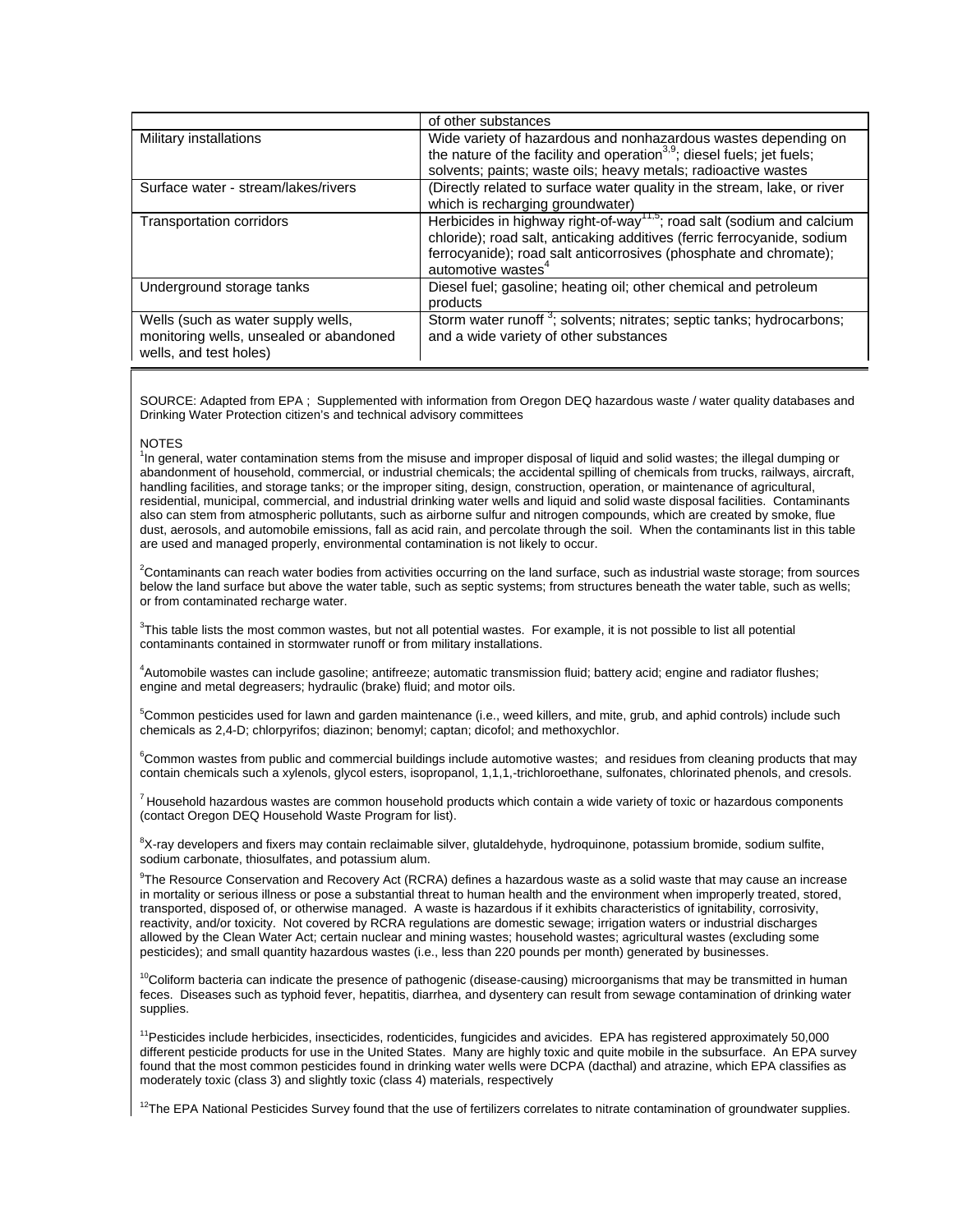|                                                                                                         | of other substances                                                                                                                                                                                                                                                  |
|---------------------------------------------------------------------------------------------------------|----------------------------------------------------------------------------------------------------------------------------------------------------------------------------------------------------------------------------------------------------------------------|
| Military installations                                                                                  | Wide variety of hazardous and nonhazardous wastes depending on<br>the nature of the facility and operation <sup>3,9</sup> ; diesel fuels; jet fuels;<br>solvents; paints; waste oils; heavy metals; radioactive wastes                                               |
| Surface water - stream/lakes/rivers                                                                     | (Directly related to surface water quality in the stream, lake, or river<br>which is recharging groundwater)                                                                                                                                                         |
| Transportation corridors                                                                                | Herbicides in highway right-of-way <sup>11,5</sup> ; road salt (sodium and calcium<br>chloride); road salt, anticaking additives (ferric ferrocyanide, sodium<br>ferrocyanide); road salt anticorrosives (phosphate and chromate);<br>automotive wastes <sup>4</sup> |
| Underground storage tanks                                                                               | Diesel fuel; gasoline; heating oil; other chemical and petroleum<br>products                                                                                                                                                                                         |
| Wells (such as water supply wells,<br>monitoring wells, unsealed or abandoned<br>wells, and test holes) | Storm water runoff <sup>3</sup> ; solvents; nitrates; septic tanks; hydrocarbons;<br>and a wide variety of other substances                                                                                                                                          |

SOURCE: Adapted from EPA ; Supplemented with information from Oregon DEQ hazardous waste / water quality databases and Drinking Water Protection citizen's and technical advisory committees

## **NOTES**

<sup>1</sup>In general, water contamination stems from the misuse and improper disposal of liquid and solid wastes; the illegal dumping or abandonment of household, commercial, or industrial chemicals; the accidental spilling of chemicals from trucks, railways, aircraft, handling facilities, and storage tanks; or the improper siting, design, construction, operation, or maintenance of agricultural, residential, municipal, commercial, and industrial drinking water wells and liquid and solid waste disposal facilities. Contaminants also can stem from atmospheric pollutants, such as airborne sulfur and nitrogen compounds, which are created by smoke, flue dust, aerosols, and automobile emissions, fall as acid rain, and percolate through the soil. When the contaminants list in this table are used and managed properly, environmental contamination is not likely to occur.

2 Contaminants can reach water bodies from activities occurring on the land surface, such as industrial waste storage; from sources below the land surface but above the water table, such as septic systems; from structures beneath the water table, such as wells; or from contaminated recharge water.

<sup>3</sup>This table lists the most common wastes, but not all potential wastes. For example, it is not possible to list all potential contaminants contained in stormwater runoff or from military installations.

4 Automobile wastes can include gasoline; antifreeze; automatic transmission fluid; battery acid; engine and radiator flushes; engine and metal degreasers; hydraulic (brake) fluid; and motor oils.

<sup>5</sup>Common pesticides used for lawn and garden maintenance (i.e., weed killers, and mite, grub, and aphid controls) include such chemicals as 2,4-D; chlorpyrifos; diazinon; benomyl; captan; dicofol; and methoxychlor.

<sup>6</sup>Common wastes from public and commercial buildings include automotive wastes; and residues from cleaning products that may contain chemicals such a xylenols, glycol esters, isopropanol, 1,1,1,-trichloroethane, sulfonates, chlorinated phenols, and cresols.

 $<sup>7</sup>$  Household hazardous wastes are common household products which contain a wide variety of toxic or hazardous components</sup> (contact Oregon DEQ Household Waste Program for list).

<sup>8</sup>X-ray developers and fixers may contain reclaimable silver, glutaldehyde, hydroquinone, potassium bromide, sodium sulfite, sodium carbonate, thiosulfates, and potassium alum.

9 The Resource Conservation and Recovery Act (RCRA) defines a hazardous waste as a solid waste that may cause an increase in mortality or serious illness or pose a substantial threat to human health and the environment when improperly treated, stored, transported, disposed of, or otherwise managed. A waste is hazardous if it exhibits characteristics of ignitability, corrosivity, reactivity, and/or toxicity. Not covered by RCRA regulations are domestic sewage; irrigation waters or industrial discharges allowed by the Clean Water Act; certain nuclear and mining wastes; household wastes; agricultural wastes (excluding some pesticides); and small quantity hazardous wastes (i.e., less than 220 pounds per month) generated by businesses.

<sup>10</sup>Coliform bacteria can indicate the presence of pathogenic (disease-causing) microorganisms that may be transmitted in human feces. Diseases such as typhoid fever, hepatitis, diarrhea, and dysentery can result from sewage contamination of drinking water supplies.

<sup>11</sup>Pesticides include herbicides, insecticides, rodenticides, fungicides and avicides. EPA has registered approximately 50,000 different pesticide products for use in the United States. Many are highly toxic and quite mobile in the subsurface. An EPA survey found that the most common pesticides found in drinking water wells were DCPA (dacthal) and atrazine, which EPA classifies as moderately toxic (class 3) and slightly toxic (class 4) materials, respectively

 $12$ The EPA National Pesticides Survey found that the use of fertilizers correlates to nitrate contamination of groundwater supplies.